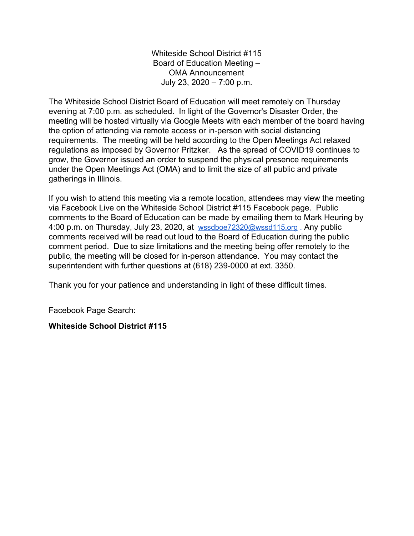Whiteside School District #115 Board of Education Meeting – OMA Announcement July 23, 2020 – 7:00 p.m.

The Whiteside School District Board of Education will meet remotely on Thursday evening at 7:00 p.m. as scheduled. In light of the Governor's Disaster Order, the meeting will be hosted virtually via Google Meets with each member of the board having the option of attending via remote access or in-person with social distancing requirements. The meeting will be held according to the Open Meetings Act relaxed regulations as imposed by Governor Pritzker. As the spread of COVID19 continues to grow, the Governor issued an order to suspend the physical presence requirements under the Open Meetings Act (OMA) and to limit the size of all public and private gatherings in Illinois.

If you wish to attend this meeting via a remote location, attendees may view the meeting via Facebook Live on the Whiteside School District #115 Facebook page. Public comments to the Board of Education can be made by emailing them to Mark Heuring by 4:00 p.m. on Thursday, July 23, 2020, at [wssdboe72320@wssd115.org](mailto:wssdboe41620@wssd115.org) . Any public comments received will be read out loud to the Board of Education during the public comment period. Due to size limitations and the meeting being offer remotely to the public, the meeting will be closed for in-person attendance. You may contact the superintendent with further questions at (618) 239-0000 at ext. 3350.

Thank you for your patience and understanding in light of these difficult times.

Facebook Page Search:

# **Whiteside School District #115**